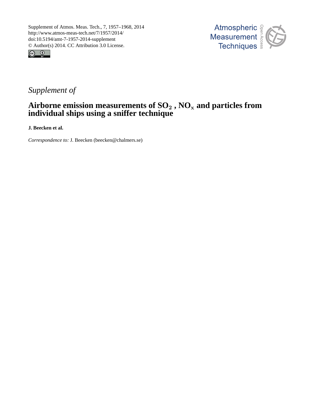



## *Supplement of*

## **Airborne emission measurements of SO**<sup>2</sup> **, NO**<sup>x</sup> **and particles from individual ships using a sniffer technique**

**J. Beecken et al.**

*Correspondence to:* J. Beecken (beecken@chalmers.se)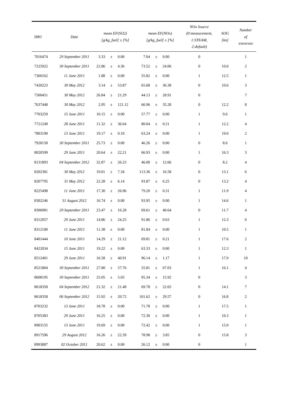| <b>IMO</b> | Date              |       |       | mean EF(SO2)<br>$[g/kg_fuel] \pm [%]$ |        |       | mean EF(NOx)<br>$[g/kg_fuel] \pm [%]$ | NOx Source<br>(0: measurement,<br>1:STEAM,<br>2: default) | SOG<br>[ $kn$ ] | Number<br>$\circ f$<br>traverses |
|------------|-------------------|-------|-------|---------------------------------------|--------|-------|---------------------------------------|-----------------------------------------------------------|-----------------|----------------------------------|
| 7016474    | 29 September 2011 | 3.33  | $\pm$ | $0.00\,$                              | 7.04   | $\pm$ | $0.00\,$                              | $\mathbf{0}$                                              |                 | $\mathbf{1}$                     |
| 7225922    | 30 September 2011 | 22.86 | $\pm$ | 4.36                                  | 73.52  | $\pm$ | 24.06                                 | $\mathbf{0}$                                              | 10.0            | $\overline{c}$                   |
| 7360162    | 11 June 2011      | 1.88  | $\pm$ | 0.00                                  | 55.82  | $\pm$ | 0.00                                  | $\mathbf{1}$                                              | 12.5            | $\mathbf{1}$                     |
| 7420223    | 30 May 2012       | 3.14  | $\pm$ | 53.87                                 | 65.68  | $\pm$ | 36.38                                 | $\mathbf{0}$                                              | 10.6            | 3                                |
| 7500451    | 30 May 2012       | 26.84 | $\pm$ | 21.29                                 | 44.13  | $\pm$ | 28.91                                 | $\mathbf{0}$                                              |                 | $\tau$                           |
| 7637448    | 30 May 2012       | 2.95  | $\pm$ | 121.12                                | 66.96  | $\pm$ | 35.28                                 | $\mathbf{0}$                                              | 12.2            | 8                                |
| 7703259    | 15 June 2011      | 10.15 | $\pm$ | $0.00\,$                              | 57.77  | $\pm$ | 0.00                                  | $\mathbf{1}$                                              | 9.6             | $\mathbf{1}$                     |
| 7721249    | 28 June 2011      | 11.32 | $\pm$ | 36.64                                 | 80.04  | $\pm$ | 0.21                                  | $\mathbf{1}$                                              | 12.2            | $\overline{4}$                   |
| 7803190    | 13 June 2011      | 19.17 | $\pm$ | 0.10                                  | 63.24  | $\pm$ | 0.00                                  | $\mathbf{1}$                                              | 19.0            | $\overline{c}$                   |
| 7928158    | 30 September 2011 | 25.73 | $\pm$ | 0.00                                  | 46.26  | $\pm$ | 0.00                                  | $\mathbf{0}$                                              | 8.6             | $\mathbf{1}$                     |
| 8020599    | 29 June 2011      | 20.64 | $\pm$ | 22.21                                 | 66.93  | $\pm$ | 0.00                                  | $\mathbf{1}$                                              | 16.3            | 3                                |
| 8131893    | 04 September 2012 | 32.87 | $\pm$ | 26.23                                 | 46.00  | $\pm$ | 12.66                                 | $\mathbf{0}$                                              | 8.2             | $\overline{4}$                   |
| 8202381    | 30 May 2012       | 19.01 | $\pm$ | 7.34                                  | 113.36 | $\pm$ | 16.58                                 | $\mathbf{0}$                                              | 13.1            | 6                                |
| 8207795    | 31 May 2012       | 22.28 | $\pm$ | 6.14                                  | 93.87  | $\pm$ | 6.25                                  | $\mathbf{0}$                                              | 13.2            | $\overline{4}$                   |
| 8225498    | 11 June 2011      | 17.30 | $\pm$ | 26.96                                 | 79.20  | $\pm$ | 0.31                                  | $\mathbf{1}$                                              | 11.9            | 4                                |
| 8302246    | 31 August 2012    | 16.74 | $\pm$ | 0.00                                  | 93.95  | $\pm$ | 0.00                                  | $\mathbf{1}$                                              | 14.6            | 1                                |
| 8306981    | 29 September 2011 | 23.47 | $\pm$ | 16.28                                 | 69.61  | $\pm$ | 40.64                                 | $\mathbf{0}$                                              | 11.7            | $\overline{4}$                   |
| 8312057    | 29 June 2011      | 14.86 | $\pm$ | 24.25                                 | 91.86  | $\pm$ | 0.63                                  | $\mathbf{1}$                                              | 12.3            | 6                                |
| 8312100    | 11 June 2011      | 11.38 | $\pm$ | 0.00                                  | 81.84  | $\pm$ | 0.00                                  | $\mathbf{1}$                                              | 10.5            | $\mathbf{1}$                     |
| 8401444    | 10 June 2011      | 14.29 | 土     | 21.12                                 | 69.81  | $\pm$ | 0.21                                  | 1                                                         | 17.6            | 2                                |
| 8422034    | 15 June 2011      | 19.22 | $\pm$ | $0.00\,$                              | 63.33  | $\pm$ | $0.00\,$                              | $\mathbf{1}$                                              | 12.3            | $\mathbf{1}$                     |
| 8512401    | 29 June 2011      | 16.58 | $\pm$ | 40.91                                 | 96.14  | $\pm$ | 1.17                                  | $\mathbf{1}$                                              | 17.9            | $10\,$                           |
| 8521804    | 30 September 2011 | 27.80 | $\pm$ | 57.76                                 | 55.81  | $\pm$ | 67.03                                 | $\mathbf{1}$                                              | 16.1            | $\overline{4}$                   |
| 8608195    | 30 September 2011 | 25.05 | $\pm$ | 5.03                                  | 95.34  | $\pm$ | 15.92                                 | $\mathbf{0}$                                              |                 | 3                                |
| 8618358    | 04 September 2012 | 21.32 | $\pm$ | 21.48                                 | 69.78  | $\pm$ | 22.65                                 | $\mathbf{0}$                                              | 14.1            | $\tau$                           |
| 8618358    | 06 September 2012 | 15.92 | $\pm$ | 20.72                                 | 101.62 | $\pm$ | 29.57                                 | $\mathbf{0}$                                              | 16.8            | $\overline{c}$                   |
| 8703232    | 13 June 2011      | 18.78 | $\pm$ | $0.00\,$                              | 71.78  | $\pm$ | 0.00                                  | $\mathbf{1}$                                              | 17.5            | $\mathbf{1}$                     |
| 8705383    | 29 June 2011      | 16.25 | $\pm$ | 0.00                                  | 72.30  | $\pm$ | 0.00                                  | $\mathbf{1}$                                              | 16.3            | $\mathbf{1}$                     |
| 8903155    | 13 June 2011      | 19.69 | $\pm$ | 0.00                                  | 72.42  | $\pm$ | 0.00                                  | $\mathbf{1}$                                              | 15.0            | $\mathbf{1}$                     |
| 8917596    | 29 August 2012    | 16.26 | $\pm$ | 22.39                                 | 78.98  | $\pm$ | 3.85                                  | $\mathbf{0}$                                              | 15.8            | 3                                |
| 8993887    | 02 October 2011   | 20.62 | $\pm$ | $0.00\,$                              | 26.12  | $\pm$ | $0.00\,$                              | $\boldsymbol{0}$                                          |                 | $\mathbf{1}$                     |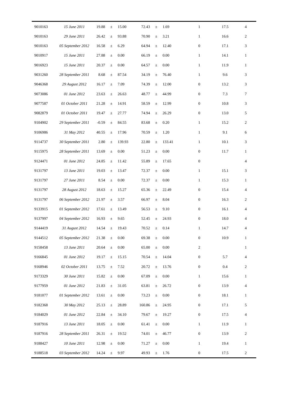| 9010163 | 15 June 2011      | 19.88     | $_{\pm}$ | 15.00    | 72.43  | $\pm$ | 1.69     | $\mathbf{1}$     | 17.5 | $\overline{4}$ |
|---------|-------------------|-----------|----------|----------|--------|-------|----------|------------------|------|----------------|
| 9010163 | 29 June 2011      | 26.42     | $\pm$    | 93.88    | 70.90  | $\pm$ | 3.21     | $\mathbf{1}$     | 16.6 | 2              |
| 9010163 | 05 September 2012 | 16.58     | $\pm$    | 6.29     | 64.94  | $\pm$ | 12.40    | $\boldsymbol{0}$ | 17.1 | 3              |
| 9010917 | 15 June 2011      | 27.88     | $\pm$    | 0.00     | 66.19  | $\pm$ | 0.00     | $\mathbf{1}$     | 14.1 | $\mathbf{1}$   |
| 9016923 | 15 June 2011      | 20.37     | $\pm$    | 0.00     | 64.57  | $\pm$ | 0.00     | $\mathbf{1}$     | 11.9 | $\mathbf{1}$   |
| 9031260 | 28 September 2011 | 8.68      | $\pm$    | 87.54    | 34.19  | $\pm$ | 76.40    | $\mathbf{1}$     | 9.6  | 3              |
| 9046368 | 29 August 2012    | 16.17     | $\pm$    | 7.09     | 74.39  | $\pm$ | 12.00    | $\boldsymbol{0}$ | 13.2 | 3              |
| 9073086 | 01 June 2012      | 23.63     | $\pm$    | 26.63    | 48.77  | $\pm$ | 44.99    | $\boldsymbol{0}$ | 7.3  | 7              |
| 9077587 | 01 October 2011   | 21.28     | $\pm$    | 14.91    | 58.59  | $\pm$ | 12.99    | $\boldsymbol{0}$ | 10.8 | 3              |
| 9082879 | 01 October 2011   | 19.47     | $\pm$    | 27.77    | 74.94  | $\pm$ | 26.29    | $\boldsymbol{0}$ | 13.0 | 5              |
| 9104902 | 29 September 2011 | $-0.59$   | $\pm$    | 84.55    | 83.68  | $\pm$ | 0.20     | $\mathbf{1}$     | 15.2 | $\overline{c}$ |
| 9106986 | 31 May 2012       | 40.55     | $\pm$    | 17.96    | 70.59  | $\pm$ | 1.20     | $\mathbf{1}$     | 9.1  | 6              |
| 9114737 | 30 September 2011 | 2.80      | $\pm$    | 139.93   | 22.80  | $\pm$ | 133.41   | $\mathbf{1}$     | 10.1 | 3              |
| 9115975 | 28 September 2011 | 13.69     | $\pm$    | 0.00     | 51.23  | $\pm$ | 0.00     | $\boldsymbol{0}$ | 11.7 | $\mathbf{1}$   |
| 9124471 | 01 June 2012      | 24.85     | $\pm$    | 11.42    | 55.89  | $\pm$ | 17.65    | $\boldsymbol{0}$ |      | 4              |
| 9131797 | 13 June 2011      | 19.03     | $\pm$    | 13.47    | 72.37  | $\pm$ | 0.00     | $\mathbf{1}$     | 15.1 | 3              |
| 9131797 | 27 June 2011      | 8.54      | $\pm$    | 0.00     | 72.37  | $\pm$ | 0.00     | $\mathbf{1}$     | 15.3 | $\mathbf{1}$   |
| 9131797 | 28 August 2012    | 18.63     | $\pm$    | 15.27    | 65.36  | $\pm$ | 22.49    | $\boldsymbol{0}$ | 15.4 | 4              |
| 9131797 | 06 September 2012 | 21.97     | $\pm$    | 3.57     | 66.97  | $\pm$ | 8.04     | $\boldsymbol{0}$ | 16.3 | 2              |
| 9133915 | 01 September 2012 | 17.61     | $\pm$    | 13.49    | 56.53  | $\pm$ | 9.10     | $\boldsymbol{0}$ | 16.1 | 4              |
| 9137997 | 04 September 2012 | 16.93     | $\pm$    | 9.65     | 52.45  | $\pm$ | 24.93    | $\boldsymbol{0}$ | 18.0 | 4              |
| 9144419 | 31 August 2012    | 14.54     | $\pm$    | 19.43    | 70.52  | $\pm$ | 0.14     | $\mathbf{1}$     | 14.7 | 4              |
| 9144512 | 05 September 2012 | $21.38 +$ |          | $0.00\,$ | 69.38  | $+$   | $0.00\,$ | $\Omega$         | 10.9 | $\mathbf{1}$   |
| 9158458 | 13 June 2011      | 20.64     | $\pm$    | 0.00     | 65.00  | $\pm$ | 0.00     | $\mathbf{2}$     |      | $\mathbf{1}$   |
| 9166845 | 01 June 2012      | 19.17     | $\pm$    | 15.15    | 70.54  | $\pm$ | 14.04    | $\boldsymbol{0}$ | 5.7  | 4              |
| 9168946 | 02 October 2011   | 13.75     | $\pm$    | 7.52     | 20.72  | $\pm$ | 13.76    | $\boldsymbol{0}$ | 0.4  | $\overline{c}$ |
| 9173329 | 30 June 2011      | 15.82     | $\pm$    | $0.00\,$ | 67.09  | $\pm$ | 0.00     | $\mathbf{1}$     | 15.6 | 1              |
| 9177959 | 01 June 2012      | 21.83     | $\pm$    | 31.05    | 63.81  | $\pm$ | 26.72    | $\boldsymbol{0}$ | 13.9 | 4              |
| 9181077 | 01 September 2012 | 13.61     | $\pm$    | 0.00     | 73.23  | $\pm$ | 0.00     | $\boldsymbol{0}$ | 18.1 | 1              |
| 9182368 | 30 May 2012       | 25.13     | $\pm$    | 28.89    | 160.86 | $\pm$ | 24.95    | $\boldsymbol{0}$ | 17.1 | $\mathfrak{S}$ |
| 9184029 | 01 June 2012      | 22.84     | $\pm$    | 34.10    | 79.67  | $\pm$ | 19.27    | $\boldsymbol{0}$ | 17.5 | 4              |
| 9187916 | 13 June 2011      | 18.05     | $\pm$    | 0.00     | 61.41  | $\pm$ | 0.00     | $\mathbf{1}$     | 11.9 | 1              |
| 9187916 | 28 September 2011 | 26.31     | $\pm$    | 19.52    | 74.01  | $\pm$ | 46.77    | $\boldsymbol{0}$ | 13.9 | $\overline{c}$ |
| 9188427 | 10 June 2011      | 12.98     | $\pm$    | 0.00     | 71.27  | $\pm$ | 0.00     | $\mathbf{1}$     | 19.4 | $\mathbf{1}$   |
| 9188518 | 03 September 2012 | 14.24     | $_{\pm}$ | 9.97     | 49.93  | $\pm$ | 1.76     | $\boldsymbol{0}$ | 17.5 | $\sqrt{2}$     |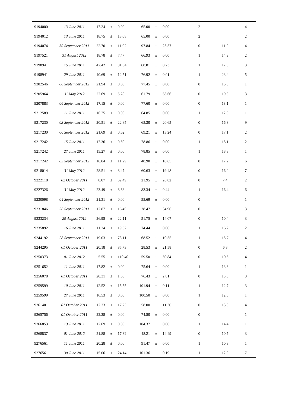| 9194000 | 13 June 2011      | 17.24       | $\pm$    | 9.99   | 65.00  | $\pm$ | 0.00     | $\overline{c}$   |      | 4              |
|---------|-------------------|-------------|----------|--------|--------|-------|----------|------------------|------|----------------|
| 9194012 | 13 June 2011      | 18.75       | $\pm$    | 18.08  | 65.00  | $\pm$ | 0.00     | $\sqrt{2}$       |      | 2              |
| 9194074 | 30 September 2011 | 22.70       | $\pm$    | 11.92  | 97.84  | $\pm$ | 25.57    | $\boldsymbol{0}$ | 11.9 | 4              |
| 9197521 | 31 August 2012    | 18.78       | $\pm$    | 7.47   | 66.93  | $\pm$ | 0.00     | $\mathbf{1}$     | 14.9 | 2              |
| 9198941 | 15 June 2011      | 42.42       | $\pm$    | 31.34  | 68.81  | $\pm$ | 0.23     | $\mathbf{1}$     | 17.3 | $\mathfrak{Z}$ |
| 9198941 | 29 June 2011      | 40.69       | $\pm$    | 12.51  | 76.92  | $\pm$ | $0.01\,$ | $\mathbf{1}$     | 23.4 | 5              |
| 9202546 | 06 September 2012 | 21.94       | $\pm$    | 0.00   | 77.45  | $\pm$ | 0.00     | $\boldsymbol{0}$ | 15.3 | $\mathbf{1}$   |
| 9205964 | 31 May 2012       | 27.69       | $\pm$    | 5.28   | 61.79  | $\pm$ | 63.66    | $\boldsymbol{0}$ | 19.3 | 3              |
| 9207883 | 06 September 2012 | 17.15       | $\pm$    | 0.00   | 77.60  | $\pm$ | 0.00     | $\boldsymbol{0}$ | 18.1 | $\mathbf{1}$   |
| 9212589 | 11 June 2011      | 16.75       | $\pm$    | 0.00   | 64.85  | $\pm$ | 0.00     | $\mathbf{1}$     | 12.9 | $\mathbf{1}$   |
| 9217230 | 03 September 2012 | 20.51       | $\pm$    | 22.85  | 65.30  | $\pm$ | 20.65    | $\boldsymbol{0}$ | 16.3 | 9              |
| 9217230 | 06 September 2012 | 21.69       | $\pm$    | 0.62   | 69.21  | $\pm$ | 13.24    | $\boldsymbol{0}$ | 17.1 | 2              |
| 9217242 | 15 June 2011      | 17.36       | $\pm$    | 9.50   | 78.86  | $\pm$ | 0.00     | $\mathbf{1}$     | 18.1 | $\overline{c}$ |
| 9217242 | 27 June 2011      | 15.27       | $\pm$    | 0.00   | 78.85  | $\pm$ | 0.00     | $\mathbf{1}$     | 18.3 | $\mathbf{1}$   |
| 9217242 | 03 September 2012 | 16.84       | $\pm$    | 11.29  | 48.90  | $\pm$ | 10.65    | $\boldsymbol{0}$ | 17.2 | 6              |
| 9218014 | 31 May 2012       | 28.51       | $\pm$    | 8.47   | 60.63  | $\pm$ | 19.48    | $\mathbf{0}$     | 16.0 | 7              |
| 9222118 | 02 October 2011   | 8.07        | $\pm$    | 62.49  | 21.95  | $\pm$ | 28.82    | $\boldsymbol{0}$ | 7.4  | 2              |
| 9227326 | 31 May 2012       | 23.49       | $\pm$    | 8.68   | 83.34  | $\pm$ | 0.44     | $\mathbf{1}$     | 16.4 | 6              |
| 9230098 | 04 September 2012 | 21.31       | $\pm$    | 0.00   | 55.69  | $\pm$ | 0.00     | $\mathbf{0}$     |      | 1              |
| 9231846 | 30 September 2011 | 17.87       | $_{\pm}$ | 16.49  | 38.47  | $\pm$ | 34.96    | $\boldsymbol{0}$ |      | 3              |
| 9233234 | 29 August 2012    | 26.95       | $\pm$    | 22.11  | 51.75  | $\pm$ | 14.07    | $\boldsymbol{0}$ | 10.4 | 3              |
| 9235892 | 16 June 2011      | 11.24       | $\pm$    | 19.52  | 74.44  | $\pm$ | 0.00     | $\mathbf{1}$     | 16.2 | 2              |
| 9244192 | 28 September 2011 | 19.03 $\pm$ |          | 73.11  | 68.52  | $+$   | 10.55    | 1                | 15.7 | 4              |
| 9244295 | 01 October 2011   | 20.18       | $\pm$    | 35.73  | 28.53  | $\pm$ | 21.58    | $\mathbf{0}$     | 6.8  | $\mathfrak{2}$ |
| 9250373 | 01 June 2012      | 5.55        | $\pm$    | 110.40 | 59.50  | $\pm$ | 59.84    | $\boldsymbol{0}$ | 10.6 | 4              |
| 9251652 | 11 June 2011      | 17.82       | $\pm$    | 0.00   | 75.64  | $\pm$ | 0.00     | $\mathbf{1}$     | 13.3 | 1              |
| 9256078 | 01 October 2011   | 20.31       | $\pm$    | 1.30   | 76.43  | $\pm$ | 2.81     | $\boldsymbol{0}$ | 13.6 | 3              |
| 9259599 | 10 June 2011      | 12.52       | $\pm$    | 15.55  | 101.94 | $\pm$ | 0.11     | $\mathbf{1}$     | 12.7 | 3              |
| 9259599 | 27 June 2011      | 16.53       | $\pm$    | 0.00   | 100.50 | $\pm$ | 0.00     | $\mathbf{1}$     | 12.0 | 1              |
| 9261401 | 01 October 2011   | 17.33       | $\pm$    | 17.23  | 58.00  | $\pm$ | 11.30    | $\mathbf{0}$     | 13.8 | 4              |
| 9265756 | 01 October 2011   | 22.28       | $\pm$    | 0.00   | 74.50  | $\pm$ | 0.00     | $\boldsymbol{0}$ |      | $\mathbf{1}$   |
| 9266853 | 13 June 2011      | 17.69       | $\pm$    | 0.00   | 104.37 | $\pm$ | 0.00     | $\mathbf{1}$     | 14.4 | 1              |
| 9268837 | 01 June 2012      | 21.88       | $\pm$    | 17.32  | 48.21  | $\pm$ | 14.49    | $\boldsymbol{0}$ | 10.7 | 3              |
| 9276561 | 11 June 2011      | 20.28       | $\pm$    | 0.00   | 91.47  | $\pm$ | 0.00     | $\mathbf{1}$     | 10.3 | $\mathbf{1}$   |
| 9276561 | 30 June 2011      | 15.06       | $\pm$    | 24.14  | 101.36 | $\pm$ | 0.19     | $\mathbf{1}$     | 12.9 | $\tau$         |

j,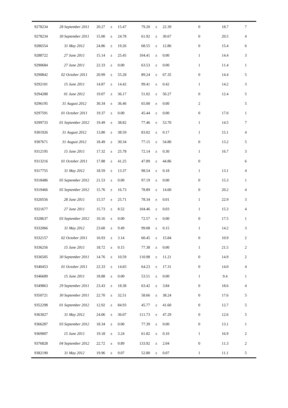| 9278234 | 28 September 2011 | 20.27 | $_{\pm}$ | 15.47    | 79.20  | $\pm$ | 22.39    | $\boldsymbol{0}$ | 18.7 | $\tau$         |
|---------|-------------------|-------|----------|----------|--------|-------|----------|------------------|------|----------------|
| 9278234 | 30 September 2011 | 15.00 | $\pm$    | 24.78    | 61.92  | $\pm$ | 30.67    | $\boldsymbol{0}$ | 20.5 | 4              |
| 9286554 | 31 May 2012       | 24.86 | $\pm$    | 19.26    | 68.55  | $\pm$ | 12.86    | $\boldsymbol{0}$ | 15.4 | 6              |
| 9288722 | 27 June 2011      | 15.14 | $\pm$    | 25.45    | 104.41 | $\pm$ | 0.00     | $\mathbf{1}$     | 14.4 | 3              |
| 9290684 | 27 June 2011      | 22.33 | $\pm$    | 0.00     | 63.53  | $\pm$ | 0.00     | $\mathbf{1}$     | 11.4 | $\mathbf{1}$   |
| 9290842 | 02 October 2011   | 20.99 | $\pm$    | 55.28    | 89.24  | $\pm$ | 67.35    | $\boldsymbol{0}$ | 14.4 | 5              |
| 9292101 | 15 June 2011      | 14.87 | $\pm$    | 14.42    | 99.41  | $\pm$ | 0.42     | $\mathbf{1}$     | 14.2 | 3              |
| 9294288 | 01 June 2012      | 19.07 | $\pm$    | 36.17    | 51.02  | $\pm$ | 50.27    | $\boldsymbol{0}$ | 12.4 | 5              |
| 9296195 | 31 August 2012    | 30.34 | $\pm$    | 36.46    | 65.00  | $\pm$ | 0.00     | $\overline{c}$   |      | 5              |
| 9297591 | 01 October 2011   | 19.37 | $\pm$    | 0.00     | 45.44  | $\pm$ | 0.00     | $\boldsymbol{0}$ | 17.0 | $\mathbf{1}$   |
| 9299733 | 01 September 2012 | 19.49 | $\pm$    | 38.82    | 77.46  | $\pm$ | 53.70    | $\mathbf{1}$     | 14.5 | $\tau$         |
| 9301926 | 31 August 2012    | 13.80 | $\pm$    | 38.59    | 83.02  | $\pm$ | 0.17     | $\mathbf{1}$     | 15.1 | 4              |
| 9307671 | 31 August 2012    | 18.49 | $\pm$    | 30.34    | 77.15  | $\pm$ | 54.80    | $\boldsymbol{0}$ | 13.2 | 5              |
| 9312195 | 15 June 2011      | 17.32 | $\pm$    | 25.78    | 72.14  | $\pm$ | 0.30     | $\mathbf{1}$     | 16.7 | 3              |
| 9313216 | 01 October 2011   | 17.88 | $\pm$    | 41.25    | 47.89  | $\pm$ | 44.86    | $\boldsymbol{0}$ |      | 6              |
| 9317755 | 31 May 2012       | 18.59 | $\pm$    | 13.37    | 98.54  | $\pm$ | 0.18     | $\mathbf{1}$     | 13.1 | 4              |
| 9318486 | 05 September 2012 | 21.53 | $\pm$    | 0.00     | 97.19  | $\pm$ | 0.00     | $\boldsymbol{0}$ | 15.3 | $\mathbf{1}$   |
| 9319466 | 05 September 2012 | 15.76 | $\pm$    | 16.73    | 78.89  | $\pm$ | 14.60    | $\boldsymbol{0}$ | 20.2 | 4              |
| 9320556 | 28 June 2011      | 15.57 | $\pm$    | 25.71    | 78.34  | $\pm$ | 0.01     | $\mathbf{1}$     | 22.9 | 3              |
| 9321677 | 27 June 2011      | 15.73 | $\pm$    | 8.52     | 104.46 | $\pm$ | 0.03     | $\mathbf{1}$     | 15.3 | 4              |
| 9328637 | 03 September 2012 | 10.16 | $_{\pm}$ | 0.00     | 72.57  | $\pm$ | 0.00     | $\boldsymbol{0}$ | 17.5 | $\mathbf{1}$   |
| 9332066 | 31 May 2012       | 23.60 | $\pm$    | 9.49     | 99.08  | $\pm$ | 0.15     | $\mathbf{1}$     | 14.2 | 3              |
| 9332157 | 02 October 2011   | 16.93 | $\pm$    | 3.14     | 60.45  | $\pm$ | 15.84    | $\overline{0}$   | 10.9 | 2              |
| 9336256 | 15 June 2011      | 18.72 | $\pm$    | 0.15     | 77.38  | $\pm$ | 0.00     | $\mathbf{1}$     | 21.5 | $\overline{c}$ |
| 9336505 | 30 September 2011 | 14.76 | $\pm$    | 10.59    | 110.98 | $\pm$ | 11.21    | $\boldsymbol{0}$ | 14.9 | $\overline{c}$ |
| 9340453 | 01 October 2011   | 22.33 | $\pm$    | 14.65    | 64.23  | $\pm$ | 17.31    | $\boldsymbol{0}$ | 14.0 | 4              |
| 9346689 | 15 June 2011      | 18.88 | $\pm$    | $0.00\,$ | 53.51  | $\pm$ | $0.00\,$ | $\mathbf{1}$     | 9.4  | 1              |
| 9349863 | 29 September 2011 | 23.43 | $\pm$    | 18.38    | 63.42  | $\pm$ | 3.84     | $\boldsymbol{0}$ | 18.6 | 4              |
| 9350721 | 30 September 2011 | 22.70 | $\pm$    | 32.51    | 58.66  | $\pm$ | 38.24    | $\boldsymbol{0}$ | 17.6 | 5              |
| 9352298 | 01 September 2012 | 12.92 | $\pm$    | 84.93    | 45.77  | $\pm$ | 41.60    | $\boldsymbol{0}$ | 12.7 | 5              |
| 9363027 | 31 May 2012       | 24.06 | $\pm$    | 36.07    | 111.73 | $\pm$ | 47.29    | $\boldsymbol{0}$ | 12.6 | 5              |
| 9366287 | 03 September 2012 | 18.34 | $\pm$    | 0.00     | 77.39  | $\pm$ | 0.00     | $\boldsymbol{0}$ | 13.1 | 1              |
| 9369007 | 15 June 2011      | 19.18 | $\pm$    | 3.24     | 61.82  | $\pm$ | 0.10     | $\mathbf{1}$     | 16.9 | $\overline{c}$ |
| 9376828 | 04 September 2012 | 22.72 | $\pm$    | 0.89     | 133.92 | $\pm$ | 2.04     | $\boldsymbol{0}$ | 11.3 | 2              |
| 9382190 | 31 May 2012       | 19.96 | $\pm$    | 9.07     | 52.80  | $\pm$ | 0.07     | $\mathbf{1}$     | 11.1 | $\mathfrak{S}$ |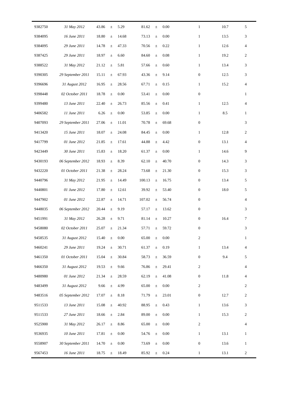| 9382750 | 31 May 2012       | 43.86 | $\pm$    | 5.29     | 81.62  | $\pm$ | 0.00     | $\mathbf{1}$     | 10.7 | 5                |
|---------|-------------------|-------|----------|----------|--------|-------|----------|------------------|------|------------------|
| 9384095 | 16 June 2011      | 18.80 | $\pm$    | 14.68    | 73.13  | $\pm$ | 0.00     | $\mathbf{1}$     | 13.5 | 3                |
| 9384095 | 29 June 2011      | 14.78 | $\pm$    | 47.33    | 70.56  | $\pm$ | 0.22     | $\mathbf{1}$     | 12.6 | 4                |
| 9387425 | 29 June 2011      | 18.97 | $\pm$    | 6.60     | 84.60  | $\pm$ | 0.08     | $\mathbf{1}$     | 19.2 | $\overline{c}$   |
| 9388522 | 31 May 2012       | 21.12 | $\pm$    | 5.81     | 57.66  | $\pm$ | 0.60     | $\mathbf{1}$     | 13.4 | 3                |
| 9390305 | 29 September 2011 | 15.11 | $\pm$    | 67.93    | 43.36  | $\pm$ | 9.14     | $\boldsymbol{0}$ | 12.5 | 3                |
| 9396696 | 31 August 2012    | 16.95 | $\pm$    | 28.56    | 67.71  | $\pm$ | 0.15     | $\mathbf{1}$     | 15.2 | 4                |
| 9398448 | 02 October 2011   | 18.78 | $\pm$    | 0.00     | 53.41  | $\pm$ | 0.00     | $\boldsymbol{0}$ |      | $\mathbf{1}$     |
| 9399480 | 13 June 2011      | 22.40 | $\pm$    | 26.73    | 85.56  | $\pm$ | 0.41     | $\mathbf{1}$     | 12.5 | 4                |
| 9406582 | 11 June 2011      | 6.26  | $\pm$    | $0.00\,$ | 53.85  | $\pm$ | 0.00     | $\mathbf{1}$     | 8.5  | $\mathbf{1}$     |
| 9407093 | 29 September 2011 | 27.06 | $\pm$    | 11.01    | 70.78  | $\pm$ | 69.68    | $\boldsymbol{0}$ |      | 3                |
| 9413420 | 15 June 2011      | 18.07 | $\pm$    | 24.08    | 84.45  | $\pm$ | 0.00     | $\mathbf{1}$     | 12.8 | 2                |
| 9417799 | 01 June 2012      | 21.85 | $\pm$    | 17.61    | 44.88  | $\pm$ | 4.42     | $\boldsymbol{0}$ | 13.1 | 4                |
| 9423449 | 30 June 2011      | 15.83 | $\pm$    | 18.20    | 61.37  | $\pm$ | 0.00     | $\mathbf{1}$     | 14.6 | 9                |
| 9430193 | 06 September 2012 | 18.93 | $\pm$    | 8.39     | 62.10  | $\pm$ | 40.70    | $\boldsymbol{0}$ | 14.3 | 3                |
| 9432220 | 01 October 2011   | 21.38 | $\pm$    | 28.24    | 73.68  | $\pm$ | 21.30    | $\boldsymbol{0}$ | 15.3 | 3                |
| 9440796 | 31 May 2012       | 21.95 | $\pm$    | 14.49    | 100.13 | $\pm$ | 16.75    | $\boldsymbol{0}$ | 13.4 | 5                |
| 9440801 | 01 June 2012      | 17.80 | $\pm$    | 12.61    | 39.92  | $\pm$ | 53.40    | $\boldsymbol{0}$ | 18.0 | 5                |
| 9447902 | 01 June 2012      | 22.87 | $\pm$    | 14.71    | 107.02 | $\pm$ | 56.74    | $\boldsymbol{0}$ |      | 4                |
| 9448035 | 06 September 2012 | 20.44 | $\pm$    | 9.19     | 57.17  | $\pm$ | 13.62    | $\boldsymbol{0}$ |      | 3                |
| 9451991 | 31 May 2012       | 26.28 | $\pm$    | 9.71     | 81.14  | $\pm$ | 10.27    | $\boldsymbol{0}$ | 16.4 | $\tau$           |
| 9458080 | 02 October 2011   | 25.07 | $\pm$    | 21.34    | 57.71  | $\pm$ | 59.72    | $\boldsymbol{0}$ |      | 3                |
| 9458535 | 31 August 2012    | 15.40 | $\pm$    | 0.00     | 65.00  | $\pm$ | $0.00\,$ | $\overline{2}$   |      | 1                |
| 9460241 | 29 June 2011      | 19.24 | $\pm$    | 30.71    | 61.37  | $\pm$ | 0.19     | $\mathbf{1}$     | 13.4 | 4                |
| 9461350 | 01 October 2011   | 15.04 | $\pm$    | 30.84    | 58.73  | $\pm$ | 36.59    | $\boldsymbol{0}$ | 9.4  | 5                |
| 9466350 | 31 August 2012    | 19.53 | $\pm$    | 9.66     | 76.86  | $\pm$ | 29.41    | $\overline{c}$   |      | 4                |
| 9480980 | 01 June 2012      | 21.34 | $\pm$    | 28.59    | 62.19  | $\pm$ | 41.08    | $\boldsymbol{0}$ | 11.8 | 4                |
| 9483499 | 31 August 2012    | 9.66  | $\pm$    | 4.99     | 65.00  | $\pm$ | 0.00     | $\sqrt{2}$       |      | $\overline{c}$   |
| 9483516 | 05 September 2012 | 17.07 | $\pm$    | 8.18     | 71.79  | $\pm$ | 23.01    | $\boldsymbol{0}$ | 12.7 | 2                |
| 9511533 | 13 June 2011      | 15.08 | $\pm$    | 40.92    | 88.95  | $\pm$ | 0.43     | $\mathbf{1}$     | 13.6 | 3                |
| 9511533 | 27 June 2011      | 18.66 | $_{\pm}$ | 2.84     | 89.00  | $\pm$ | 0.00     | $\mathbf{1}$     | 15.3 | $\overline{c}$   |
| 9525900 | 31 May 2012       | 26.17 | $\pm$    | 8.86     | 65.00  | $\pm$ | 0.00     | $\overline{c}$   |      | 4                |
| 9536935 | 10 June 2011      | 17.81 | $\pm$    | 0.00     | 54.76  | $\pm$ | 0.00     | $\mathbf{1}$     | 13.1 | $\mathbf{1}$     |
| 9558907 | 30 September 2011 | 14.70 | $\pm$    | 0.00     | 73.69  | $\pm$ | 0.00     | $\boldsymbol{0}$ | 13.6 | $\mathbf{1}$     |
| 9567453 | 16 June 2011      | 18.75 | $\pm$    | 18.49    | 85.92  | $\pm$ | 0.24     | $\mathbf{1}$     | 13.1 | $\boldsymbol{2}$ |

j,